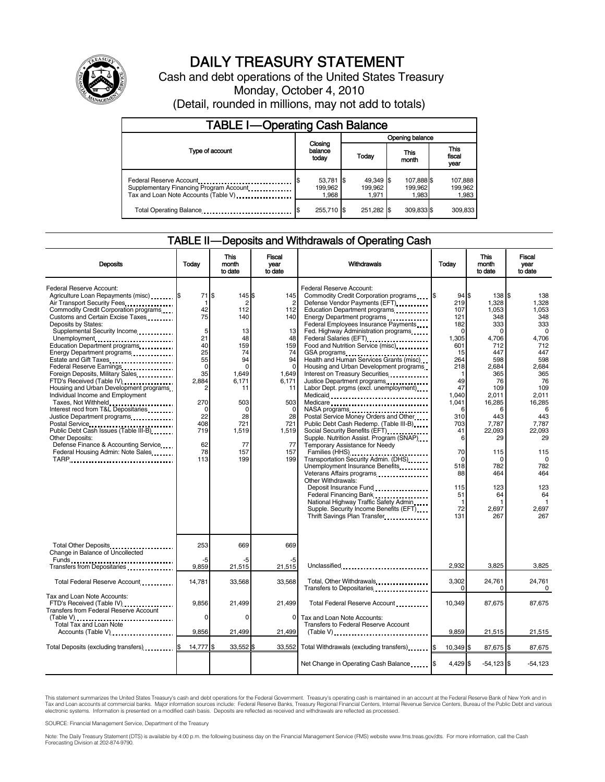

# DAILY TREASURY STATEMENT

Cash and debt operations of the United States Treasury Monday, October 4, 2010 (Detail, rounded in millions, may not add to totals)

| <b>TABLE I-Operating Cash Balance</b>                                                                      |                                         |  |                               |                                |                               |  |  |  |  |
|------------------------------------------------------------------------------------------------------------|-----------------------------------------|--|-------------------------------|--------------------------------|-------------------------------|--|--|--|--|
|                                                                                                            |                                         |  | Opening balance               |                                |                               |  |  |  |  |
| Type of account                                                                                            | Closing<br>balance<br>today             |  | Today                         | This<br>month                  | <b>This</b><br>fiscal<br>year |  |  |  |  |
| Federal Reserve Account<br>Supplementary Financing Program Account<br>Tax and Loan Note Accounts (Table V) | $53,781$ $\sqrt{3}$<br>199.962<br>1.968 |  | 49,349 \$<br>199.962<br>1.971 | 107,888 \$<br>199,962<br>1.983 | 107,888<br>199,962<br>1,983   |  |  |  |  |
| Total Operating Balance                                                                                    | 255.710 \$                              |  | 251.282 \$                    | 309.833 \$                     | 309,833                       |  |  |  |  |

### TABLE II — Deposits and Withdrawals of Operating Cash

| <b>Deposits</b>                                                                                                                                                                                                                                                                                                                                                                                                                                                                                                                                                                                                                                                                                                                                                                                                   | Today                                                                                                                                             | <b>This</b><br>month<br>to date                                                                                                                           | <b>Fiscal</b><br>year<br>to date                                                                                                                  | Withdrawals                                                                                                                                                                                                                                                                                                                                                                                                                                                                                                                                                                                                                                                                                                                                                                                                                                                                                                                                                                                                                                  | Today                                                                                                                                                                                                                            | <b>This</b><br>month<br>to date                                                                                                                                                                                                          | <b>Fiscal</b><br>vear<br>to date                                                                                                                                                                                                                    |  |
|-------------------------------------------------------------------------------------------------------------------------------------------------------------------------------------------------------------------------------------------------------------------------------------------------------------------------------------------------------------------------------------------------------------------------------------------------------------------------------------------------------------------------------------------------------------------------------------------------------------------------------------------------------------------------------------------------------------------------------------------------------------------------------------------------------------------|---------------------------------------------------------------------------------------------------------------------------------------------------|-----------------------------------------------------------------------------------------------------------------------------------------------------------|---------------------------------------------------------------------------------------------------------------------------------------------------|----------------------------------------------------------------------------------------------------------------------------------------------------------------------------------------------------------------------------------------------------------------------------------------------------------------------------------------------------------------------------------------------------------------------------------------------------------------------------------------------------------------------------------------------------------------------------------------------------------------------------------------------------------------------------------------------------------------------------------------------------------------------------------------------------------------------------------------------------------------------------------------------------------------------------------------------------------------------------------------------------------------------------------------------|----------------------------------------------------------------------------------------------------------------------------------------------------------------------------------------------------------------------------------|------------------------------------------------------------------------------------------------------------------------------------------------------------------------------------------------------------------------------------------|-----------------------------------------------------------------------------------------------------------------------------------------------------------------------------------------------------------------------------------------------------|--|
| Federal Reserve Account:<br>Agriculture Loan Repayments (misc) \$<br>Air Transport Security Fees<br>Commodity Credit Corporation programs<br>Customs and Certain Excise Taxes<br>Deposits by States:<br>Supplemental Security Income<br>Unemployment<br>Education Department programs<br>Energy Department programs<br><br>Estate and Gift Taxes<br>Federal Reserve Earnings<br>1999 - Production Predictor Reserves<br>Foreign Deposits, Military Sales<br>FTD's Received (Table IV)<br>Housing and Urban Development programs<br>Individual Income and Employment<br>Taxes, Not Withheld<br>Interest recd from T&L Depositaries<br>Justice Department programs<br>Public Debt Cash Issues (Table III-B)<br>Other Deposits:<br>Defense Finance & Accounting Service<br>Federal Housing Admin: Note Sales<br>TARP | 71 \$<br>-1<br>42<br>75<br>5<br>21<br>40<br>25<br>55<br>$\mathbf 0$<br>35<br>2,884<br>2<br>270<br>$\Omega$<br>22<br>408<br>719<br>62<br>78<br>113 | 145 \$<br>2<br>112<br>140<br>13<br>48<br>159<br>74<br>94<br>$\Omega$<br>1,649<br>6.171<br>11<br>503<br>$\Omega$<br>28<br>721<br>1,519<br>77<br>157<br>199 | 145<br>112<br>140<br>13<br>48<br>159<br>74<br>94<br>$\Omega$<br>1,649<br>6,171<br>11<br>503<br>$\Omega$<br>28<br>721<br>1,519<br>77<br>157<br>199 | Federal Reserve Account:<br>Commodity Credit Corporation programs<br>Defense Vendor Payments (EFT)<br>Education Department programs<br>Energy Department programs<br><br>Federal Employees Insurance Payments<br>Fed. Highway Administration programs<br>Federal Salaries (EFT)<br>Food and Nutrition Service (misc)<br>GSA programs<br>Health and Human Services Grants (misc)<br>Housing and Urban Development programs<br>Interest on Treasury Securities<br>Justice Department programs<br><br>Labor Dept. prgms (excl. unemployment)<br>Medicaid<br>Medicare<br>Postal Service Money Orders and Other<br>Public Debt Cash Redemp. (Table III-B)<br>Social Security Benefits (EFT)<br>Supple. Nutrition Assist. Program (SNAP)<br>Temporary Assistance for Needy<br>Transportation Security Admin. (DHS)<br>Unemployment Insurance Benefits<br>Other Withdrawals:<br>Deposit Insurance Fund<br>Federal Financing Bank<br>National Highway Traffic Safety Admin<br>Supple. Security Income Benefits (EFT)<br>Thrift Savings Plan Transfer | 94S<br>1\$<br>219<br>107<br>121<br>182<br>$\Omega$<br>1,305<br>601<br>15<br>264<br>218<br>1<br>49<br>47<br>1,040<br>1,041<br>6<br>310<br>703<br>41<br>6<br>70<br>$\Omega$<br>518<br>88<br>115<br>51<br>$\mathbf{1}$<br>72<br>131 | 138 \$<br>1,328<br>1,053<br>348<br>333<br>$\Omega$<br>4,706<br>712<br>447<br>598<br>2,684<br>365<br>76<br>109<br>2,011<br>16,285<br>6<br>443<br>7,787<br>22,093<br>29<br>115<br>$\Omega$<br>782<br>464<br>123<br>64<br>1<br>2,697<br>267 | 138<br>1.328<br>1,053<br>348<br>333<br>$\mathbf 0$<br>4,706<br>712<br>447<br>598<br>2,684<br>365<br>76<br>109<br>2,011<br>16,285<br>6<br>443<br>7.787<br>22,093<br>29<br>115<br>$\Omega$<br>782<br>464<br>123<br>64<br>$\mathbf{1}$<br>2,697<br>267 |  |
| Total Other Deposits<br>Change in Balance of Uncollected                                                                                                                                                                                                                                                                                                                                                                                                                                                                                                                                                                                                                                                                                                                                                          | 253                                                                                                                                               | 669                                                                                                                                                       | 669                                                                                                                                               |                                                                                                                                                                                                                                                                                                                                                                                                                                                                                                                                                                                                                                                                                                                                                                                                                                                                                                                                                                                                                                              |                                                                                                                                                                                                                                  |                                                                                                                                                                                                                                          |                                                                                                                                                                                                                                                     |  |
| Transfers from Depositaries                                                                                                                                                                                                                                                                                                                                                                                                                                                                                                                                                                                                                                                                                                                                                                                       | -5<br>9.859                                                                                                                                       | -5<br>21,515                                                                                                                                              | -5<br>21,515                                                                                                                                      | Unclassified                                                                                                                                                                                                                                                                                                                                                                                                                                                                                                                                                                                                                                                                                                                                                                                                                                                                                                                                                                                                                                 | 2.932                                                                                                                                                                                                                            | 3.825                                                                                                                                                                                                                                    | 3,825                                                                                                                                                                                                                                               |  |
| Total Federal Reserve Account                                                                                                                                                                                                                                                                                                                                                                                                                                                                                                                                                                                                                                                                                                                                                                                     | 14,781                                                                                                                                            | 33,568                                                                                                                                                    | 33,568                                                                                                                                            | Total, Other Withdrawals<br>Transfers to Depositaries                                                                                                                                                                                                                                                                                                                                                                                                                                                                                                                                                                                                                                                                                                                                                                                                                                                                                                                                                                                        | 3,302<br>$\Omega$                                                                                                                                                                                                                | 24,761<br>$\Omega$                                                                                                                                                                                                                       | 24,761<br>0                                                                                                                                                                                                                                         |  |
| Tax and Loan Note Accounts:<br>FTD's Received (Table IV)<br><b>Transfers from Federal Reserve Account</b>                                                                                                                                                                                                                                                                                                                                                                                                                                                                                                                                                                                                                                                                                                         | 9.856<br>0                                                                                                                                        | 21.499<br>0                                                                                                                                               | 21.499<br>$\mathbf{0}$                                                                                                                            | Total Federal Reserve Account<br>Tax and Loan Note Accounts:                                                                                                                                                                                                                                                                                                                                                                                                                                                                                                                                                                                                                                                                                                                                                                                                                                                                                                                                                                                 | 10.349                                                                                                                                                                                                                           | 87.675                                                                                                                                                                                                                                   | 87.675                                                                                                                                                                                                                                              |  |
| Total Tax and Loan Note<br>Accounts (Table V)                                                                                                                                                                                                                                                                                                                                                                                                                                                                                                                                                                                                                                                                                                                                                                     | 9,856                                                                                                                                             | 21,499                                                                                                                                                    | 21.499                                                                                                                                            | Transfers to Federal Reserve Account<br>$(Table V)$                                                                                                                                                                                                                                                                                                                                                                                                                                                                                                                                                                                                                                                                                                                                                                                                                                                                                                                                                                                          | 9.859                                                                                                                                                                                                                            | 21,515                                                                                                                                                                                                                                   | 21,515                                                                                                                                                                                                                                              |  |
|                                                                                                                                                                                                                                                                                                                                                                                                                                                                                                                                                                                                                                                                                                                                                                                                                   | 14,777 \$                                                                                                                                         | 33,552 \$                                                                                                                                                 | 33,552                                                                                                                                            | Total Withdrawals (excluding transfers) [\$                                                                                                                                                                                                                                                                                                                                                                                                                                                                                                                                                                                                                                                                                                                                                                                                                                                                                                                                                                                                  | 10.349 \$                                                                                                                                                                                                                        | 87.675 \$                                                                                                                                                                                                                                | 87.675                                                                                                                                                                                                                                              |  |
|                                                                                                                                                                                                                                                                                                                                                                                                                                                                                                                                                                                                                                                                                                                                                                                                                   |                                                                                                                                                   |                                                                                                                                                           |                                                                                                                                                   |                                                                                                                                                                                                                                                                                                                                                                                                                                                                                                                                                                                                                                                                                                                                                                                                                                                                                                                                                                                                                                              | 4,429 \$                                                                                                                                                                                                                         | $-54,123$ \$                                                                                                                                                                                                                             | $-54,123$                                                                                                                                                                                                                                           |  |

This statement summarizes the United States Treasury's cash and debt operations for the Federal Government. Treasury's operating cash is maintained in an account at the Federal Reserve Bank of New York and in<br>Tax and Loan

SOURCE: Financial Management Service, Department of the Treasury

Note: The Daily Treasury Statement (DTS) is available by 4:00 p.m. the following business day on the Financial Management Service (FMS) website www.fms.treas.gov/dts. For more information, call the Cash<br>Forecasting Divisio